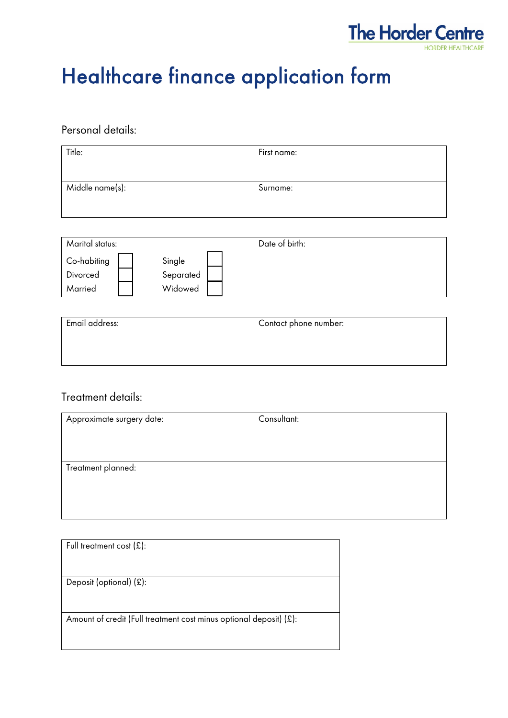

# Healthcare finance application form

### Personal details:

| Title:          | First name: |
|-----------------|-------------|
|                 |             |
| Middle name(s): | Surname:    |
|                 |             |

| Marital status:                    |                                | Date of birth: |
|------------------------------------|--------------------------------|----------------|
| Co-habiting<br>Divorced<br>Married | Single<br>Separated<br>Widowed |                |

| Email address: | Contact phone number: |  |
|----------------|-----------------------|--|
|                |                       |  |
|                |                       |  |

## Treatment details:

| Approximate surgery date: | Consultant: |
|---------------------------|-------------|
|                           |             |
|                           |             |
| Treatment planned:        |             |
|                           |             |
|                           |             |
|                           |             |

| Full treatment cost $(E)$ :                                        |
|--------------------------------------------------------------------|
| Deposit (optional) $(E)$ :                                         |
| Amount of credit (Full treatment cost minus optional deposit) (£): |